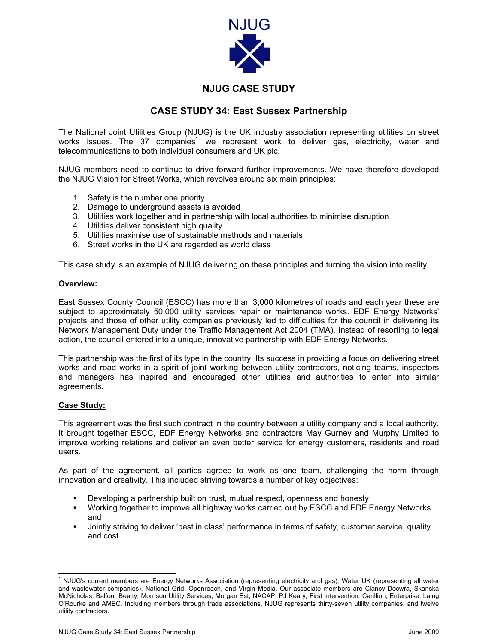

## **NJUG CASE STUDY**

## **CASE STUDY 34: East Sussex Partnership**

The National Joint Utilities Group (NJUG) is the UK industry association representing utilities on street works issues. The 37 companies<sup>[1](#page-0-0)</sup> we represent work to deliver gas, electricity, water and telecommunications to both individual consumers and UK plc.

NJUG members need to continue to drive forward further improvements. We have therefore developed the NJUG Vision for Street Works, which revolves around six main principles:

- 1. Safety is the number one priority
- 2. Damage to underground assets is avoided
- 3. Utilities work together and in partnership with local authorities to minimise disruption
- 4. Utilities deliver consistent high quality
- 5. Utilities maximise use of sustainable methods and materials
- 6. Street works in the UK are regarded as world class

This case study is an example of NJUG delivering on these principles and turning the vision into reality.

## **Overview:**

East Sussex County Council (ESCC) has more than 3,000 kilometres of roads and each year these are subject to approximately 50,000 utility services repair or maintenance works. EDF Energy Networks' projects and those of other utility companies previously led to difficulties for the council in delivering its Network Management Duty under the Traffic Management Act 2004 (TMA). Instead of resorting to legal action, the council entered into a unique, innovative partnership with EDF Energy Networks.

This partnership was the first of its type in the country. Its success in providing a focus on delivering street works and road works in a spirit of joint working between utility contractors, noticing teams, inspectors and managers has inspired and encouraged other utilities and authorities to enter into similar agreements.

## **Case Study:**

This agreement was the first such contract in the country between a utility company and a local authority. It brought together ESCC, EDF Energy Networks and contractors May Gurney and Murphy Limited to improve working relations and deliver an even better service for energy customers, residents and road users.

As part of the agreement, all parties agreed to work as one team, challenging the norm through innovation and creativity. This included striving towards a number of key objectives:

- Developing a partnership built on trust, mutual respect, openness and honesty
- Working together to improve all highway works carried out by ESCC and EDF Energy Networks and
- Jointly striving to deliver 'best in class' performance in terms of safety, customer service, quality and cost

<span id="page-0-0"></span> $\frac{1}{1}$  NJUG's current members are Energy Networks Association (representing electricity and gas), Water UK (representing all water and wastewater companies), National Grid, Openreach, and Virgin Media. Our associate members are Clancy Docwra, Skanska McNicholas, Balfour Beatty, Morrison Utility Services, Morgan Est, NACAP, PJ Keary, First Intervention, Carillion, Enterprise, Laing O'Rourke and AMEC. Including members through trade associations, NJUG represents thirty-seven utility companies, and twelve utility contractors.